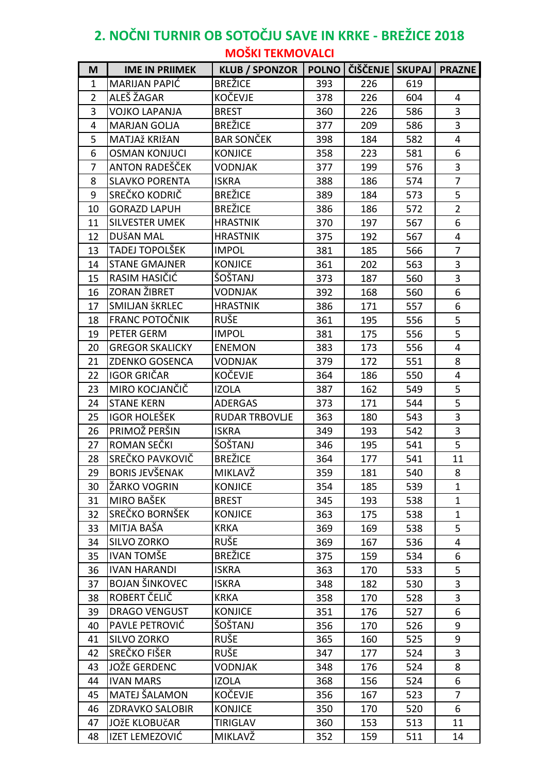## **2. NOČNI TURNIR OB SOTOČJU SAVE IN KRKE - BREŽICE 2018 MOŠKI TEKMOVALCI**

| M              | <b>IME IN PRIIMEK</b>  | <b>KLUB / SPONZOR</b> |     | POLNO   ČIŠČENJE   SKUPAJ |     | <b>PRAZNE</b>  |
|----------------|------------------------|-----------------------|-----|---------------------------|-----|----------------|
| 1              | <b>MARIJAN PAPIĆ</b>   | <b>BREŽICE</b>        | 393 | 226                       | 619 |                |
| $\overline{2}$ | ALEŠ ŽAGAR             | <b>KOČEVJE</b>        | 378 | 226                       | 604 | $\overline{4}$ |
| 3              | <b>VOJKO LAPANJA</b>   | <b>BREST</b>          | 360 | 226                       | 586 | 3              |
| 4              | <b>MARJAN GOLJA</b>    | <b>BREŽICE</b>        | 377 | 209                       | 586 | 3              |
| 5              | MATJAž KRIžAN          | <b>BAR SONČEK</b>     | 398 | 184                       | 582 | 4              |
| 6              | <b>OSMAN KONJUCI</b>   | <b>KONJICE</b>        | 358 | 223                       | 581 | 6              |
| 7              | ANTON RADEŠČEK         | <b>VODNJAK</b>        | 377 | 199                       | 576 | 3              |
| 8              | <b>SLAVKO PORENTA</b>  | <b>ISKRA</b>          | 388 | 186                       | 574 | $\overline{7}$ |
| 9              | SREČKO KODRIČ          | <b>BREŽICE</b>        | 389 | 184                       | 573 | 5              |
| 10             | <b>GORAZD LAPUH</b>    | <b>BREŽICE</b>        | 386 | 186                       | 572 | $\overline{2}$ |
| 11             | <b>SILVESTER UMEK</b>  | <b>HRASTNIK</b>       | 370 | 197                       | 567 | 6              |
| 12             | DUŠAN MAL              | <b>HRASTNIK</b>       | 375 | 192                       | 567 | $\overline{4}$ |
| 13             | TADEJ TOPOLŠEK         | <b>IMPOL</b>          | 381 | 185                       | 566 | $\overline{7}$ |
| 14             | <b>STANE GMAJNER</b>   | <b>KONJICE</b>        | 361 | 202                       | 563 | $\mathbf{3}$   |
| 15             | RASIM HASIČIĆ          | ŠOŠTANJ               | 373 | 187                       | 560 | $\overline{3}$ |
| 16             | <b>ZORAN ŽIBRET</b>    | <b>VODNJAK</b>        | 392 | 168                       | 560 | 6              |
| 17             | SMILJAN ŠKRLEC         | <b>HRASTNIK</b>       | 386 | 171                       | 557 | 6              |
| 18             | <b>FRANC POTOČNIK</b>  | <b>RUŠE</b>           | 361 | 195                       | 556 | 5              |
| 19             | PETER GERM             | <b>IMPOL</b>          | 381 | 175                       | 556 | 5              |
| 20             | <b>GREGOR SKALICKY</b> | <b>ENEMON</b>         | 383 | 173                       | 556 | 4              |
| 21             | <b>ZDENKO GOSENCA</b>  | <b>VODNJAK</b>        | 379 | 172                       | 551 | 8              |
| 22             | <b>IGOR GRIČAR</b>     | <b>KOČEVJE</b>        | 364 | 186                       | 550 | 4              |
| 23             | MIRO KOCJANČIČ         | <b>IZOLA</b>          | 387 | 162                       | 549 | 5              |
| 24             | <b>STANE KERN</b>      | <b>ADERGAS</b>        | 373 | 171                       | 544 | 5              |
| 25             | <b>IGOR HOLEŠEK</b>    | <b>RUDAR TRBOVLJE</b> | 363 | 180                       | 543 | $\overline{3}$ |
| 26             | PRIMOŽ PERŠIN          | <b>ISKRA</b>          | 349 | 193                       | 542 | 3              |
| 27             | ROMAN SEČKI            | ŠOŠTANJ               | 346 | 195                       | 541 | 5              |
| 28             | SREČKO PAVKOVIČ        | <b>BREŽICE</b>        | 364 | 177                       | 541 | 11             |
| 29             | <b>BORIS JEVŠENAK</b>  | MIKLAVŽ               | 359 | 181                       | 540 | 8              |
| 30             | ŽARKO VOGRIN           | <b>KONJICE</b>        | 354 | 185                       | 539 | $\mathbf{1}$   |
| 31             | MIRO BAŠEK             | <b>BREST</b>          | 345 | 193                       | 538 | $\mathbf{1}$   |
| 32             | SREČKO BORNŠEK         | <b>KONJICE</b>        | 363 | 175                       | 538 | $\mathbf{1}$   |
| 33             | MITJA BAŠA             | <b>KRKA</b>           | 369 | 169                       | 538 | 5              |
| 34             | SILVO ZORKO            | <b>RUŠE</b>           | 369 | 167                       | 536 | 4              |
| 35             | <b>IVAN TOMŠE</b>      | <b>BREŽICE</b>        | 375 | 159                       | 534 | 6              |
| 36             | <b>IVAN HARANDI</b>    | <b>ISKRA</b>          | 363 | 170                       | 533 | 5              |
| 37             | <b>BOJAN ŠINKOVEC</b>  | <b>ISKRA</b>          | 348 | 182                       | 530 | 3              |
| 38             | ROBERT ČELIČ           | <b>KRKA</b>           | 358 | 170                       | 528 | $\mathbf{3}$   |
| 39             | <b>DRAGO VENGUST</b>   | <b>KONJICE</b>        | 351 | 176                       | 527 | 6              |
| 40             | PAVLE PETROVIĆ         | ŠOŠTANJ               | 356 | 170                       | 526 | 9              |
| 41             | SILVO ZORKO            | <b>RUŠE</b>           | 365 | 160                       | 525 | 9              |
| 42             | SREČKO FIŠER           | <b>RUŠE</b>           | 347 | 177                       | 524 | 3              |
| 43             | <b>JOŽE GERDENC</b>    | <b>VODNJAK</b>        | 348 | 176                       | 524 | 8              |
| 44             | <b>IVAN MARS</b>       | <b>IZOLA</b>          | 368 | 156                       | 524 | 6              |
| 45             | MATEJ ŠALAMON          | KOČEVJE               | 356 | 167                       | 523 | $\overline{7}$ |
| 46             | <b>ZDRAVKO SALOBIR</b> | <b>KONJICE</b>        | 350 | 170                       | 520 | 6              |
| 47             | <b>JOŽE KLOBUČAR</b>   | <b>TIRIGLAV</b>       | 360 | 153                       | 513 | 11             |
| 48             | IZET LEMEZOVIĆ         | MIKLAVŽ               | 352 | 159                       | 511 | 14             |